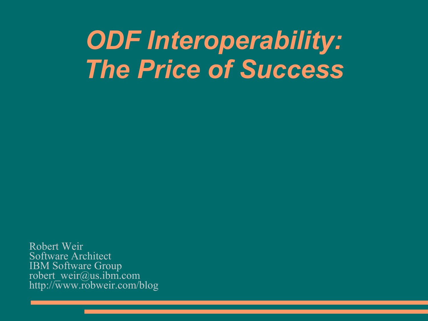## *ODF Interoperability: The Price of Success*

Robert Weir Software Architect IBM Software Group robert\_weir@us.ibm.com http://www.robweir.com/blog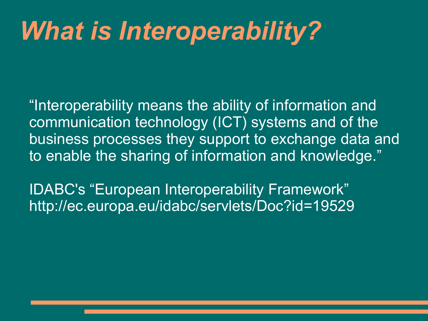# *What is Interoperability?*

"Interoperability means the ability of information and communication technology (ICT) systems and of the business processes they support to exchange data and to enable the sharing of information and knowledge."

IDABC's "European Interoperability Framework" http://ec.europa.eu/idabc/servlets/Doc?id=19529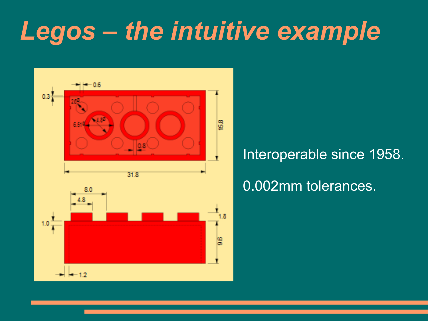# *Legos – the intuitive example*



### Interoperable since 1958.

### 0.002mm tolerances.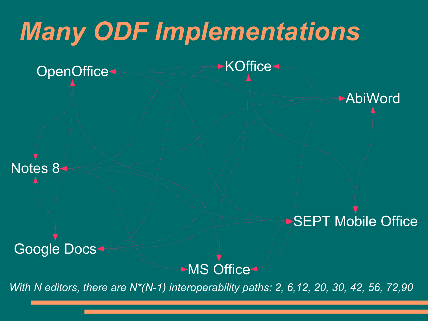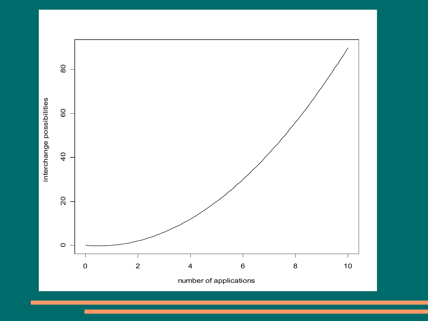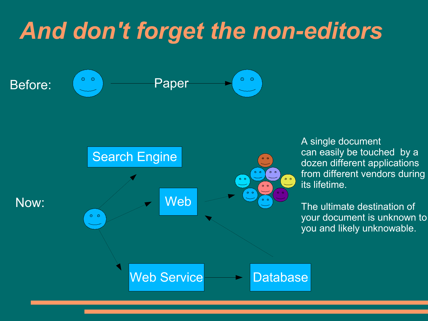## *And don't forget the non-editors*





A single document can easily be touched by a dozen different applications from different vendors during its lifetime.

The ultimate destination of your document is unknown to you and likely unknowable.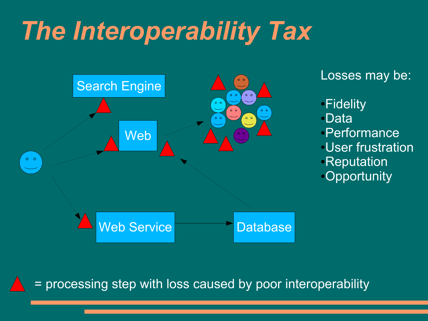# *The Interoperability Tax*



Losses may be:

●**Fidelity** ●Data ●Performance ●User frustration **•Reputation •Opportunity** 

= processing step with loss caused by poor interoperability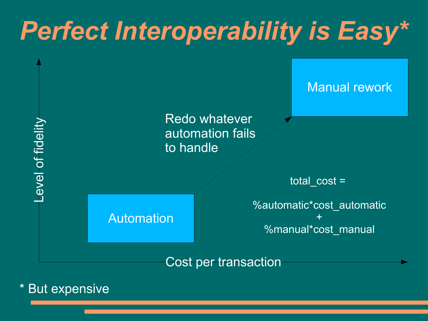

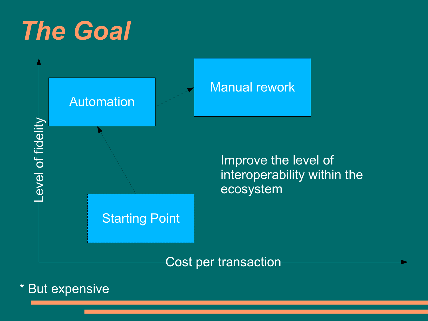# *The Goal*



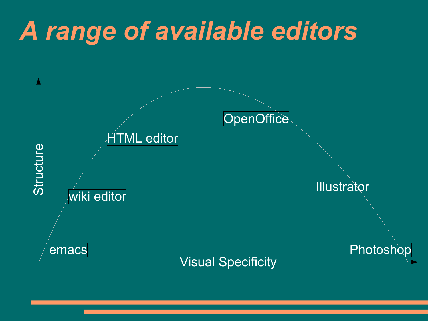# *A range of available editors*

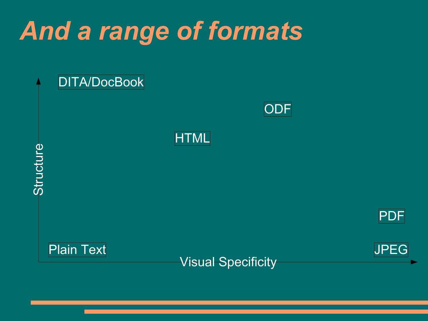# *And a range of formats*

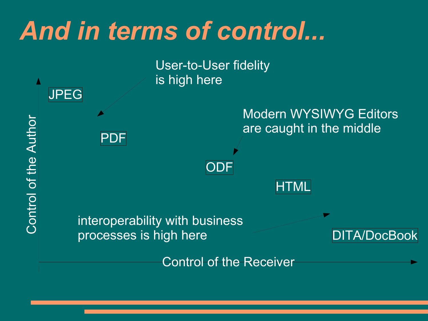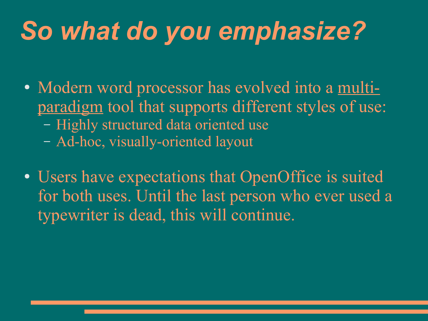# *So what do you emphasize?*

- Modern word processor has evolved into a multiparadigm tool that supports different styles of use: – Highly structured data oriented use – Ad-hoc, visually-oriented layout
- Users have expectations that OpenOffice is suited for both uses. Until the last person who ever used a typewriter is dead, this will continue.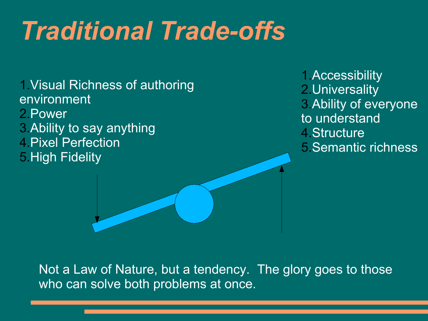# *Traditional Trade-offs*

1.Visual Richness of authoring environment 2.Power 3.Ability to say anything 4.Pixel Perfection 5.High Fidelity

1.Accessibility 2.Universality 3.Ability of everyone to understand 4.Structure 5.Semantic richness

Not a Law of Nature, but a tendency. The glory goes to those who can solve both problems at once.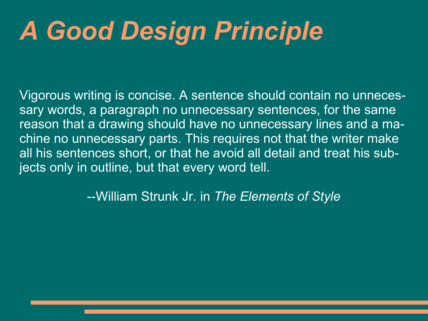# *A Good Design Principle*

Vigorous writing is concise. A sentence should contain no unnecessary words, a paragraph no unnecessary sentences, for the same reason that a drawing should have no unnecessary lines and a machine no unnecessary parts. This requires not that the writer make all his sentences short, or that he avoid all detail and treat his subjects only in outline, but that every word tell.

--William Strunk Jr. in *The Elements of Style*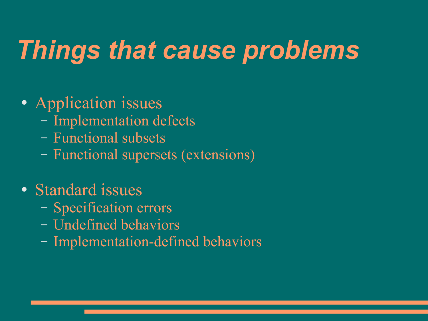# *Things that cause problems*

### • Application issues

- Implementation defects
- Functional subsets
- Functional supersets (extensions)

### • Standard issues

- Specification errors
- Undefined behaviors
- Implementation-defined behaviors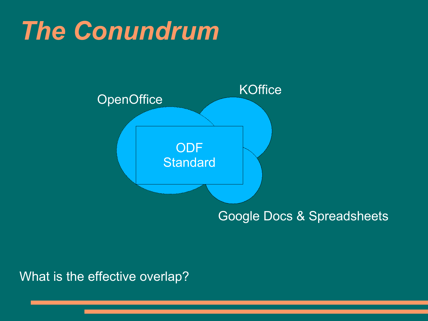## *The Conundrum*



### Google Docs & Spreadsheets

What is the effective overlap?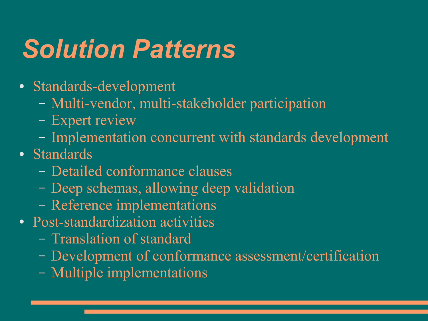# *Solution Patterns*

- Standards-development
	- Multi-vendor, multi-stakeholder participation
	- Expert review
	- Implementation concurrent with standards development
- Standards
	- Detailed conformance clauses
	- Deep schemas, allowing deep validation
	- Reference implementations
- Post-standardization activities
	- Translation of standard
	- Development of conformance assessment/certification
	- Multiple implementations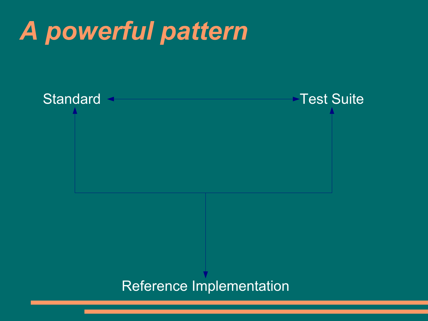# *A powerful pattern*

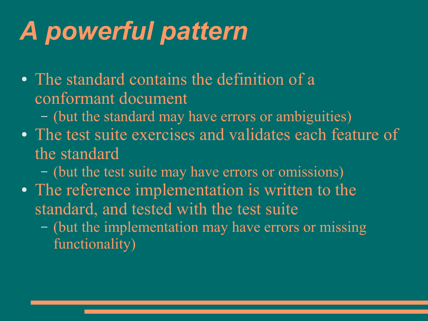# *A powerful pattern*

- The standard contains the definition of a conformant document
	- (but the standard may have errors or ambiguities)
- The test suite exercises and validates each feature of the standard
	- (but the test suite may have errors or omissions)
- The reference implementation is written to the standard, and tested with the test suite
	- (but the implementation may have errors or missing functionality)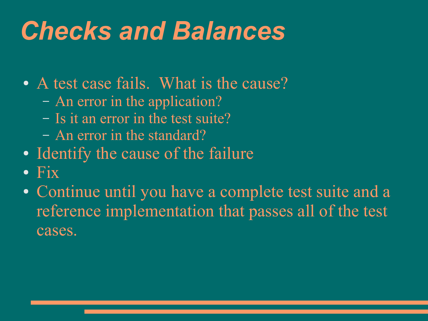# *Checks and Balances*

- A test case fails. What is the cause?
	- An error in the application?
	- Is it an error in the test suite?
	- An error in the standard?
- Identify the cause of the failure
- Fix
- Continue until you have a complete test suite and a reference implementation that passes all of the test cases.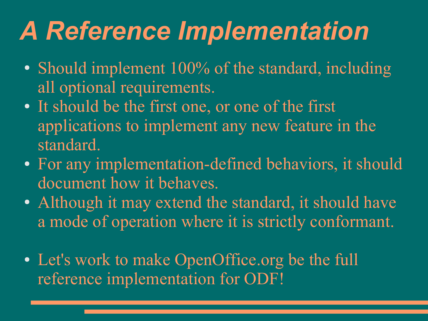# *A Reference Implementation*

- Should implement 100% of the standard, including all optional requirements.
- It should be the first one, or one of the first applications to implement any new feature in the standard.
- For any implementation-defined behaviors, it should document how it behaves.
- Although it may extend the standard, it should have a mode of operation where it is strictly conformant.
- Let's work to make OpenOffice.org be the full reference implementation for ODF!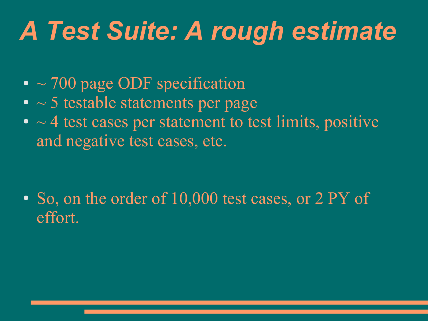# *A Test Suite: A rough estimate*

- $\bullet$  ~ 700 page ODF specification
- $\bullet$   $\sim$  5 testable statements per page
- $\bullet$   $\sim$  4 test cases per statement to test limits, positive and negative test cases, etc.

• So, on the order of 10,000 test cases, or 2 PY of effort.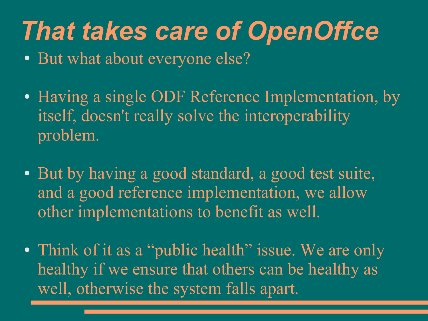## *That takes care of OpenOffce*

- But what about everyone else?
- Having a single ODF Reference Implementation, by itself, doesn't really solve the interoperability problem.
- But by having a good standard, a good test suite, and a good reference implementation, we allow other implementations to benefit as well.
- Think of it as a "public health" issue. We are only healthy if we ensure that others can be healthy as well, otherwise the system falls apart.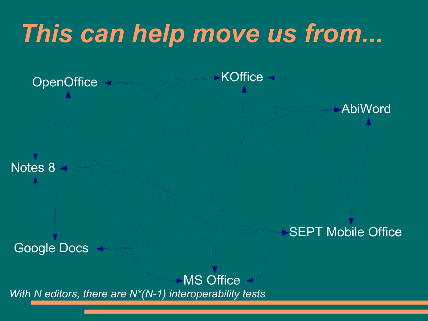# *This can help move us from...*

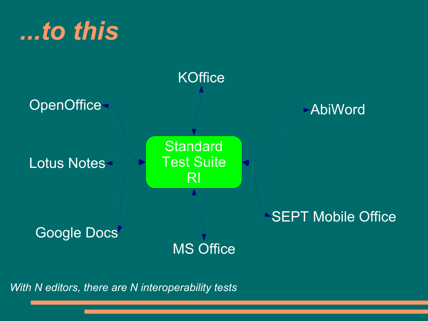## *...to this*



*With N editors, there are N interoperability tests*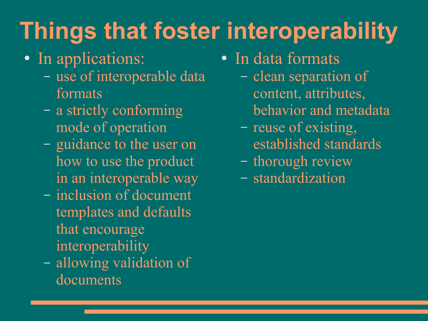# **Things that foster interoperability**

- In applications:
	- use of interoperable data formats
	- a strictly conforming mode of operation
	- guidance to the user on how to use the product in an interoperable way
	- inclusion of document templates and defaults that encourage interoperability
	- allowing validation of documents
- In data formats
	- clean separation of content, attributes, behavior and metadata
	- reuse of existing, established standards
	- thorough review
	- standardization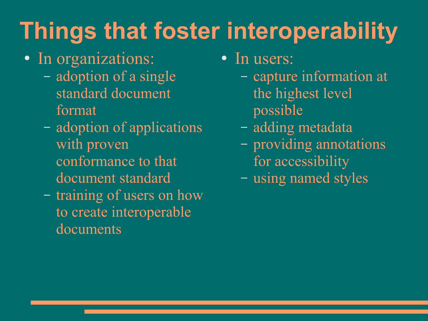# **Things that foster interoperability**

- In organizations:
	- adoption of a single standard document format
	- adoption of applications with proven conformance to that document standard
	- training of users on how to create interoperable documents
- In users:
	- capture information at the highest level possible
	- adding metadata
	- providing annotations for accessibility
	- using named styles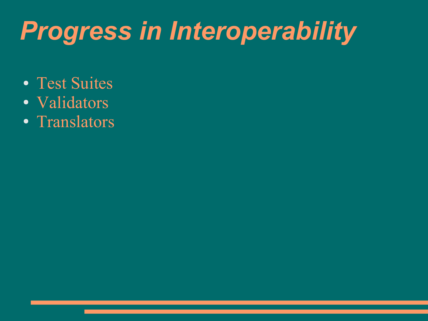# *Progress in Interoperability*

- Test Suites
- Validators
- Translators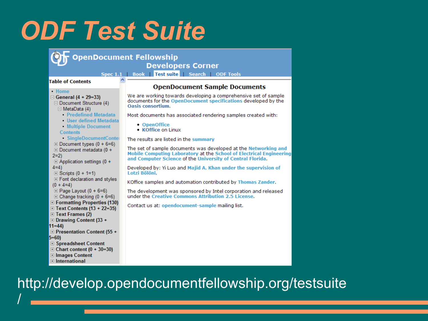## *ODF Test Suite*

| OpenDocument Fellowship<br><b>Developers Corner</b>                                                               |                                                                                                                                                                                                      |  |  |  |  |
|-------------------------------------------------------------------------------------------------------------------|------------------------------------------------------------------------------------------------------------------------------------------------------------------------------------------------------|--|--|--|--|
| Spec 1.1   Book   Test suite   Search   ODF Tools                                                                 |                                                                                                                                                                                                      |  |  |  |  |
| <b>Table of Contents</b>                                                                                          | <b>OpenDocument Sample Documents</b>                                                                                                                                                                 |  |  |  |  |
| • Home<br>□ General (4 + 29=33)<br>$\Box$ Document Structure (4)<br>$\Box$ MetaData (4)                           | We are working towards developing a comprehensive set of sample<br>documents for the OpenDocument specifications developed by the<br>Oasis consortium.                                               |  |  |  |  |
| - Predefined Metadata                                                                                             | Most documents has associated rendering samples created with:                                                                                                                                        |  |  |  |  |
| <b>User defined Metadata</b><br><b>Multiple Document</b><br><b>Contents</b>                                       | • OpenOffice<br>• KOffice on Linux                                                                                                                                                                   |  |  |  |  |
| SingleDocumentConter                                                                                              | The results are listed in the summary                                                                                                                                                                |  |  |  |  |
| $\boxplus$ Document types (0 + 6=6)<br>$\Box$ Document metadata (0 +<br>$2=2$<br>$\Box$ Application settings (0 + | The set of sample documents was developed at the Networking and<br>Mobile Computing Laboratory at the School of Electrical Engineering<br>and Computer Science of the University of Central Florida. |  |  |  |  |
| $(4=4)$<br>$\boxplus$ Scripts (0 + 1=1)                                                                           | Developed by: Yi Luo and Majid A. Khan under the supervision of<br>Lotzi Bölöni.                                                                                                                     |  |  |  |  |
| <b>⊞</b> Font declaration and styles<br>$(0 + 4=4)$                                                               | KOffice samples and automation contributed by Thomas Zander.                                                                                                                                         |  |  |  |  |
| $\Box$ Page Layout (0 + 6=6)<br>$\Box$ Change tracking (0 + 6=6)                                                  | The development was sponsored by Intel corporation and released<br>under the Creative Commons Attribution 2.5 License.                                                                               |  |  |  |  |
| <b>□ Formatting Properties (130)</b><br>$\boxplus$ Text Contents (13 + 22=35)                                     | Contact us at: opendocument-sample mailing list.                                                                                                                                                     |  |  |  |  |
| <b>□ Text Frames (2)</b><br>$\boxplus$ Drawing Content (33 +                                                      |                                                                                                                                                                                                      |  |  |  |  |
| $11=44$                                                                                                           |                                                                                                                                                                                                      |  |  |  |  |
| <b>□ Presentation Content (55 +</b>                                                                               |                                                                                                                                                                                                      |  |  |  |  |
| $5 = 60$                                                                                                          |                                                                                                                                                                                                      |  |  |  |  |
| <b>□ Spreadsheet Content</b><br>$\Box$ Chart content (0 + 30=30)                                                  |                                                                                                                                                                                                      |  |  |  |  |
| <b>□ Images Content</b>                                                                                           |                                                                                                                                                                                                      |  |  |  |  |
| $\Box$ International                                                                                              |                                                                                                                                                                                                      |  |  |  |  |

### http://develop.opendocumentfellowship.org/testsuite

/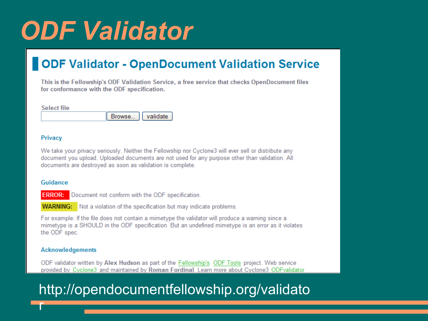# *ODF Validator*

### **ODF Validator - OpenDocument Validation Service**

This is the Fellowship's ODF Validation Service, a free service that checks OpenDocument files for conformance with the ODF specification.

|  | т п |  |
|--|-----|--|
|  |     |  |

| Browse | validate |
|--------|----------|

#### Privacy

We take your privacy seriously. Neither the Fellowship nor Cyclone3 will ever sell or distribute any document you upload. Uploaded documents are not used for any purpose other than validation. All documents are destroyed as soon as validation is complete.

#### Guidance

**ERROR:** Document not conform with the ODF specification.

**WARNING:** Not a violation of the specification but may indicate problems.

For example: If the file does not contain a mimetype the validator will produce a warning since a mimetype is a SHOULD in the ODF specification. But an undefined mimetype is an error as it violates the ODF spec.

#### **Acknowledgements**

ODF validator written by Alex Hudson as part of the Fellowship's ODF Tools project. Web service provided by Cyclone3 and maintained by Roman Fordinal. Learn more about Cyclone3 ODFvalidator

### http://opendocumentfellowship.org/validato

r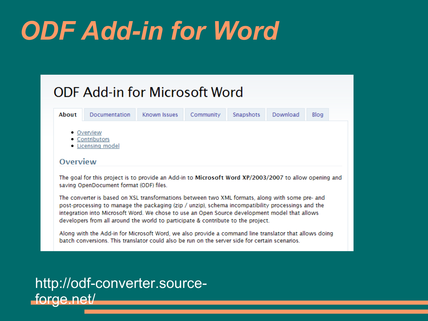# *ODF Add-in for Word*

### **ODF Add-in for Microsoft Word**

| About                                                  | Documentation                                                                                                                                                                                                                                                                                                                                                                             | Known Issues | Community | Snapshots | Download | Blog |  |
|--------------------------------------------------------|-------------------------------------------------------------------------------------------------------------------------------------------------------------------------------------------------------------------------------------------------------------------------------------------------------------------------------------------------------------------------------------------|--------------|-----------|-----------|----------|------|--|
| • Overview<br>• Contributors<br><b>Licensing model</b> |                                                                                                                                                                                                                                                                                                                                                                                           |              |           |           |          |      |  |
| Overview                                               |                                                                                                                                                                                                                                                                                                                                                                                           |              |           |           |          |      |  |
|                                                        |                                                                                                                                                                                                                                                                                                                                                                                           |              |           |           |          |      |  |
|                                                        | The goal for this project is to provide an Add-in to Microsoft Word XP/2003/2007 to allow opening and<br>saving OpenDocument format (ODF) files.                                                                                                                                                                                                                                          |              |           |           |          |      |  |
|                                                        | The converter is based on XSL transformations between two XML formats, along with some pre- and<br>post-processing to manage the packaging (zip / unzip), schema incompatibility processings and the<br>integration into Microsoft Word. We chose to use an Open Source development model that allows<br>developers from all around the world to participate & contribute to the project. |              |           |           |          |      |  |

### http://odf-converter.sourceforge.net/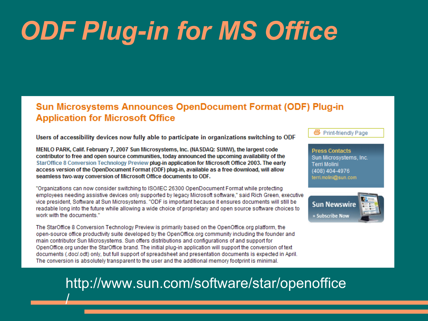# *ODF Plug-in for MS Office*

#### **Sun Microsystems Announces OpenDocument Format (ODF) Plug-in Application for Microsoft Office**

Users of accessibility devices now fully able to participate in organizations switching to ODF

MENLO PARK, Calif. February 7, 2007 Sun Microsystems, Inc. (NASDAQ: SUNW), the largest code contributor to free and open source communities, today announced the upcoming availability of the StarOffice 8 Conversion Technology Preview plug-in application for Microsoft Office 2003. The early access version of the OpenDocument Format (ODF) plug-in, available as a free download, will allow seamless two-way conversion of Microsoft Office documents to ODF.

"Organizations can now consider switching to ISO/IEC 26300 OpenDocument Format while protecting employees needing assistive devices only supported by legacy Microsoft software." said Rich Green, executive vice president, Software at Sun Microsystems. "ODF is important because it ensures documents will still be readable long into the future while allowing a wide choice of proprietary and open source software choices to work with the documents."

The StarOffice 8 Conversion Technology Preview is primarily based on the OpenOffice.org platform, the open-source office productivity suite developed by the OpenOffice.org community including the founder and main contributor Sun Microsystems. Sun offers distributions and configurations of and support for OpenOffice.org under the StarOffice brand. The initial plug-in application will support the conversion of text documents (.doc/.odt) only, but full support of spreadsheet and presentation documents is expected in April. The conversion is absolutely transparent to the user and the additional memory footprint is minimal.

/

号 Print-friendly Page

**Press Contacts** Sun Microsystems, Inc. **Terri Molini** (408) 404-4976 terri.molini@sun.com



### http://www.sun.com/software/star/openoffice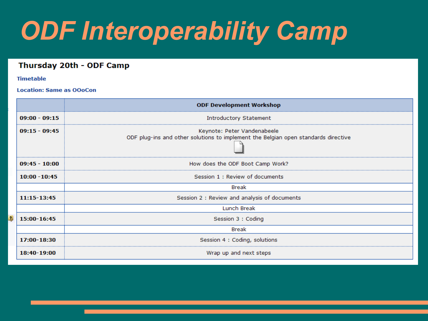# *ODF Interoperability Camp*

#### Thursday 20th - ODF Camp

#### **Timetable**

#### **Location: Same as OOoCon**

|                         |                 | <b>ODF Development Workshop</b>                                                                                   |
|-------------------------|-----------------|-------------------------------------------------------------------------------------------------------------------|
|                         | $09:00 - 09:15$ | Introductory Statement                                                                                            |
|                         | $09:15 - 09:45$ | Keynote: Peter Vandenabeele<br>ODF plug-ins and other solutions to implement the Belgian open standards directive |
|                         | $09:45 - 10:00$ | How does the ODF Boot Camp Work?                                                                                  |
|                         | $10:00 - 10:45$ | Session 1: Review of documents                                                                                    |
|                         |                 | Break                                                                                                             |
|                         | 11:15-13:45     | Session 2 : Review and analysis of documents                                                                      |
|                         |                 | Lunch Break                                                                                                       |
| $\overline{\mathbf{r}}$ | 15:00-16:45     | Session 3 : Coding                                                                                                |
|                         |                 | Break                                                                                                             |
|                         | 17:00-18:30     | Session 4 : Coding, solutions                                                                                     |
|                         | 18:40-19:00     | Wrap up and next steps                                                                                            |